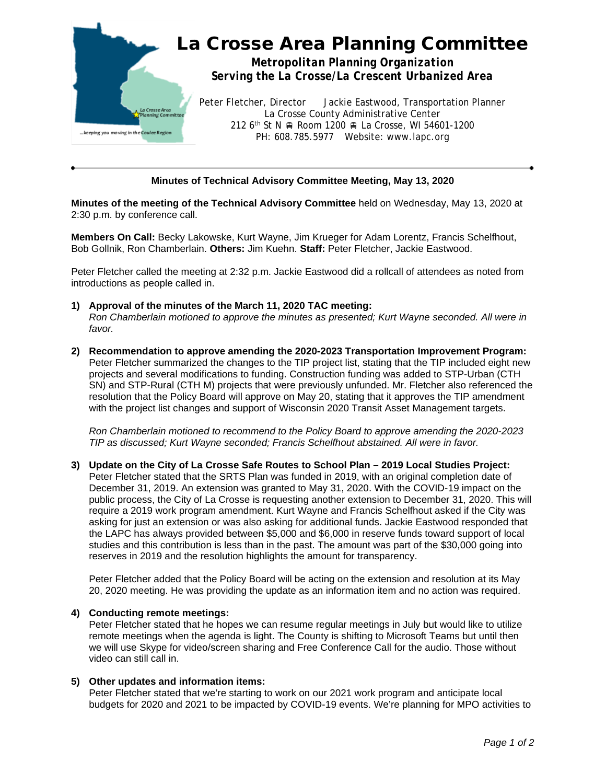

## **Minutes of Technical Advisory Committee Meeting, May 13, 2020**

**Minutes of the meeting of the Technical Advisory Committee** held on Wednesday, May 13, 2020 at 2:30 p.m. by conference call.

**Members On Call:** Becky Lakowske, Kurt Wayne, Jim Krueger for Adam Lorentz, Francis Schelfhout, Bob Gollnik, Ron Chamberlain. **Others:** Jim Kuehn. **Staff:** Peter Fletcher, Jackie Eastwood.

Peter Fletcher called the meeting at 2:32 p.m. Jackie Eastwood did a rollcall of attendees as noted from introductions as people called in.

- **1) Approval of the minutes of the March 11, 2020 TAC meeting:** *Ron Chamberlain motioned to approve the minutes as presented; Kurt Wayne seconded. All were in favor.*
- **2) Recommendation to approve amending the 2020-2023 Transportation Improvement Program:** Peter Fletcher summarized the changes to the TIP project list, stating that the TIP included eight new projects and several modifications to funding. Construction funding was added to STP-Urban (CTH SN) and STP-Rural (CTH M) projects that were previously unfunded. Mr. Fletcher also referenced the resolution that the Policy Board will approve on May 20, stating that it approves the TIP amendment with the project list changes and support of Wisconsin 2020 Transit Asset Management targets.

*Ron Chamberlain motioned to recommend to the Policy Board to approve amending the 2020-2023 TIP as discussed; Kurt Wayne seconded; Francis Schelfhout abstained. All were in favor.*

**3) Update on the City of La Crosse Safe Routes to School Plan – 2019 Local Studies Project:** Peter Fletcher stated that the SRTS Plan was funded in 2019, with an original completion date of December 31, 2019. An extension was granted to May 31, 2020. With the COVID-19 impact on the public process, the City of La Crosse is requesting another extension to December 31, 2020. This will require a 2019 work program amendment. Kurt Wayne and Francis Schelfhout asked if the City was asking for just an extension or was also asking for additional funds. Jackie Eastwood responded that the LAPC has always provided between \$5,000 and \$6,000 in reserve funds toward support of local studies and this contribution is less than in the past. The amount was part of the \$30,000 going into reserves in 2019 and the resolution highlights the amount for transparency.

Peter Fletcher added that the Policy Board will be acting on the extension and resolution at its May 20, 2020 meeting. He was providing the update as an information item and no action was required.

## **4) Conducting remote meetings:**

Peter Fletcher stated that he hopes we can resume regular meetings in July but would like to utilize remote meetings when the agenda is light. The County is shifting to Microsoft Teams but until then we will use Skype for video/screen sharing and Free Conference Call for the audio. Those without video can still call in.

## **5) Other updates and information items:**

Peter Fletcher stated that we're starting to work on our 2021 work program and anticipate local budgets for 2020 and 2021 to be impacted by COVID-19 events. We're planning for MPO activities to